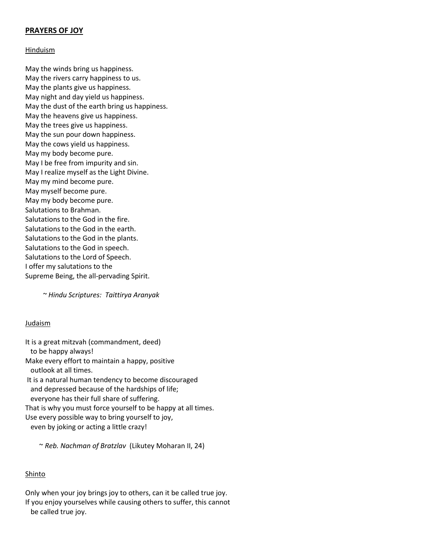# **PRAYERS OF JOY**

#### Hinduism

May the winds bring us happiness. May the rivers carry happiness to us. May the plants give us happiness. May night and day yield us happiness. May the dust of the earth bring us happiness. May the heavens give us happiness. May the trees give us happiness. May the sun pour down happiness. May the cows yield us happiness. May my body become pure. May I be free from impurity and sin. May I realize myself as the Light Divine. May my mind become pure. May myself become pure. May my body become pure. Salutations to Brahman. Salutations to the God in the fire. Salutations to the God in the earth. Salutations to the God in the plants. Salutations to the God in speech. Salutations to the Lord of Speech. I offer my salutations to the Supreme Being, the all-pervading Spirit.

 *~ Hindu Scriptures: Taittirya Aranyak*

## Judaism

It is a great mitzvah (commandment, deed) to be happy always! Make every effort to maintain a happy, positive outlook at all times. It is a natural human tendency to become discouraged and depressed because of the hardships of life; everyone has their full share of suffering. That is why you must force yourself to be happy at all times. Use every possible way to bring yourself to joy, even by joking or acting a little crazy!

~ *Reb. Nachman of Bratzlav* (Likutey Moharan II, 24)

## Shinto

Only when your joy brings joy to others, can it be called true joy. If you enjoy yourselves while causing others to suffer, this cannot be called true joy.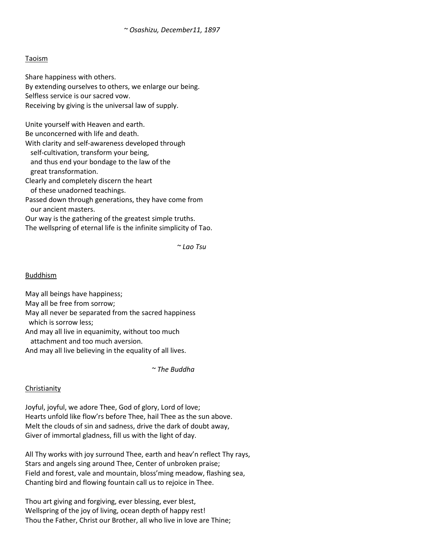## Taoism

Share happiness with others. By extending ourselves to others, we enlarge our being. Selfless service is our sacred vow. Receiving by giving is the universal law of supply.

Unite yourself with Heaven and earth.

Be unconcerned with life and death.

With clarity and self-awareness developed through self-cultivation, transform your being, and thus end your bondage to the law of the great transformation.

Clearly and completely discern the heart of these unadorned teachings.

Passed down through generations, they have come from our ancient masters.

Our way is the gathering of the greatest simple truths. The wellspring of eternal life is the infinite simplicity of Tao.

*~ Lao Tsu*

## Buddhism

May all beings have happiness; May all be free from sorrow; May all never be separated from the sacred happiness which is sorrow less; And may all live in equanimity, without too much

attachment and too much aversion.

And may all live believing in the equality of all lives.

*~ The Buddha*

## Christianity

Joyful, joyful, we adore Thee, God of glory, Lord of love; Hearts unfold like flow'rs before Thee, hail Thee as the sun above. Melt the clouds of sin and sadness, drive the dark of doubt away, Giver of immortal gladness, fill us with the light of day.

All Thy works with joy surround Thee, earth and heav'n reflect Thy rays, Stars and angels sing around Thee, Center of unbroken praise; Field and forest, vale and mountain, bloss'ming meadow, flashing sea, Chanting bird and flowing fountain call us to rejoice in Thee.

Thou art giving and forgiving, ever blessing, ever blest, Wellspring of the joy of living, ocean depth of happy rest! Thou the Father, Christ our Brother, all who live in love are Thine;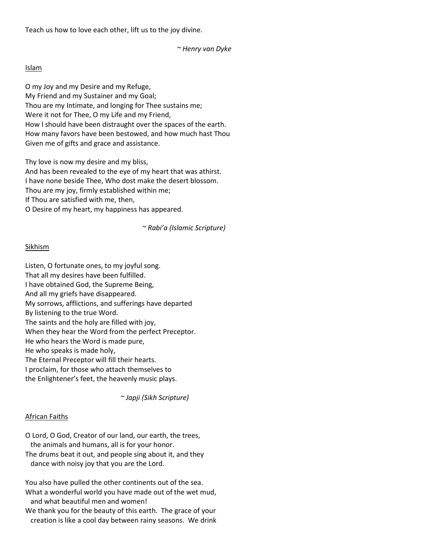Teach us how to love each other, lift us to the joy divine.

## *~ Henry van Dyke*

#### Islam

O my Joy and my Desire and my Refuge, My Friend and my Sustainer and my Goal; Thou are my Intimate, and longing for Thee sustains me; Were it not for Thee, O my Life and my Friend, How I should have been distraught over the spaces of the earth. How many favors have been bestowed, and how much hast Thou Given me of gifts and grace and assistance.

Thy love is now my desire and my bliss, And has been revealed to the eye of my heart that was athirst. I have none beside Thee, Who dost make the desert blossom. Thou are my joy, firmly established within me; If Thou are satisfied with me, then, O Desire of my heart, my happiness has appeared.

 *~ Rabi'a (Islamic Scripture)*

## Sikhism

Listen, O fortunate ones, to my joyful song. That all my desires have been fulfilled. I have obtained God, the Supreme Being, And all my griefs have disappeared. My sorrows, afflictions, and sufferings have departed By listening to the true Word. The saints and the holy are filled with joy, When they hear the Word from the perfect Preceptor. He who hears the Word is made pure, He who speaks is made holy, The Eternal Preceptor will fill their hearts. I proclaim, for those who attach themselves to the Enlightener's feet, the heavenly music plays.

 *~ Japji (Sikh Scripture)*

## African Faiths

O Lord, O God, Creator of our land, our earth, the trees, the animals and humans, all is for your honor.

The drums beat it out, and people sing about it, and they dance with noisy joy that you are the Lord.

You also have pulled the other continents out of the sea. What a wonderful world you have made out of the wet mud, and what beautiful men and women!

We thank you for the beauty of this earth. The grace of your creation is like a cool day between rainy seasons. We drink